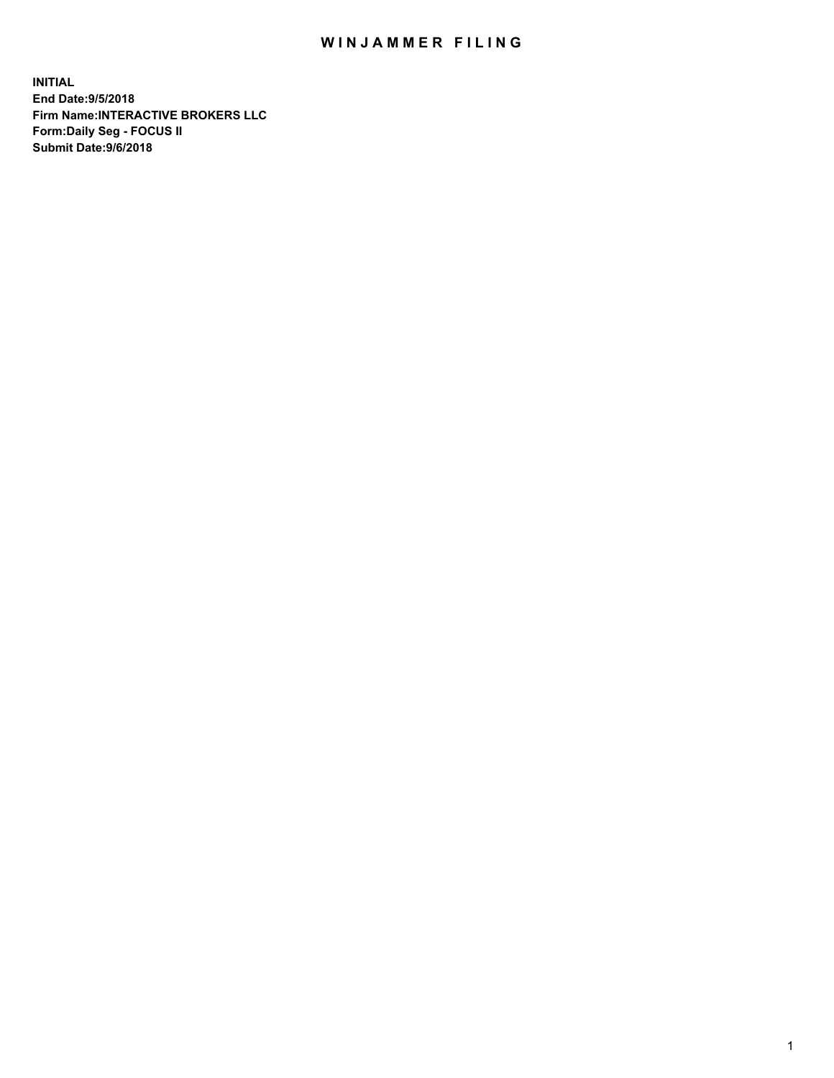## WIN JAMMER FILING

**INITIAL End Date:9/5/2018 Firm Name:INTERACTIVE BROKERS LLC Form:Daily Seg - FOCUS II Submit Date:9/6/2018**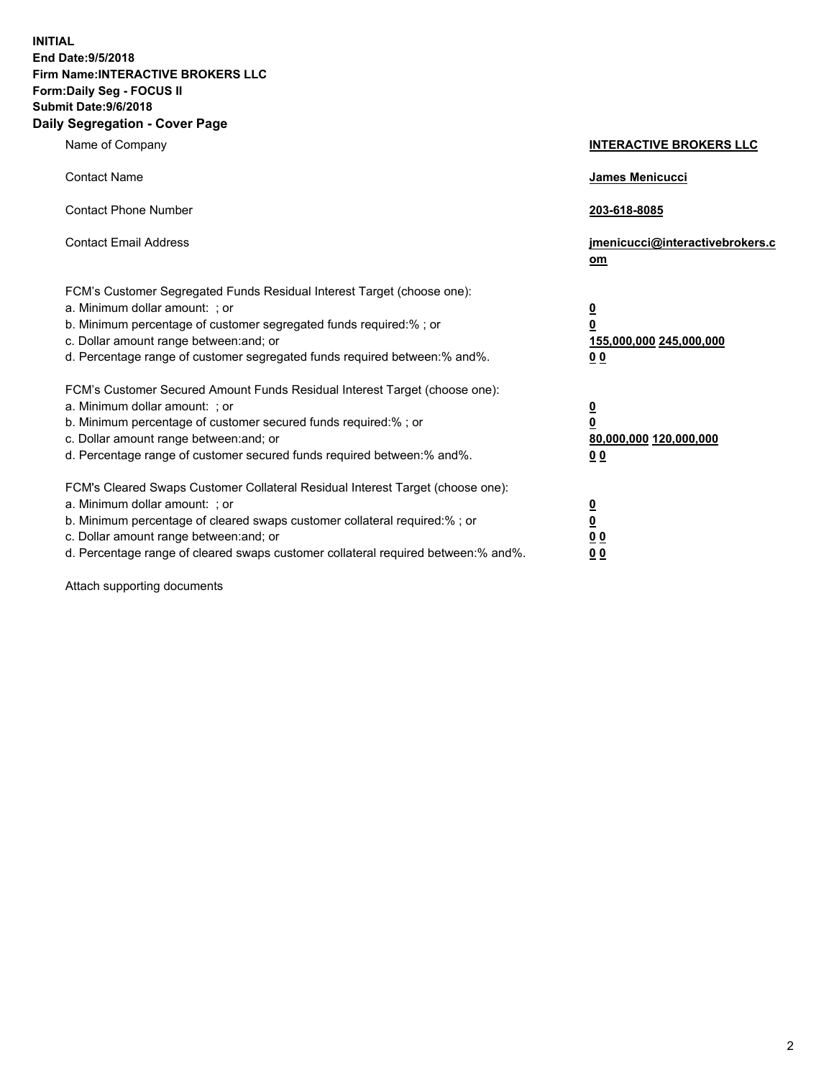**INITIAL End Date:9/5/2018 Firm Name:INTERACTIVE BROKERS LLC Form:Daily Seg - FOCUS II Submit Date:9/6/2018 Daily Segregation - Cover Page**

| Name of Company                                                                                                                                                                                                                                                                                                                | <b>INTERACTIVE BROKERS LLC</b>                                                      |
|--------------------------------------------------------------------------------------------------------------------------------------------------------------------------------------------------------------------------------------------------------------------------------------------------------------------------------|-------------------------------------------------------------------------------------|
| <b>Contact Name</b>                                                                                                                                                                                                                                                                                                            | James Menicucci                                                                     |
| <b>Contact Phone Number</b>                                                                                                                                                                                                                                                                                                    | 203-618-8085                                                                        |
| <b>Contact Email Address</b>                                                                                                                                                                                                                                                                                                   | jmenicucci@interactivebrokers.c<br>om                                               |
| FCM's Customer Segregated Funds Residual Interest Target (choose one):<br>a. Minimum dollar amount: ; or<br>b. Minimum percentage of customer segregated funds required:% ; or<br>c. Dollar amount range between: and; or<br>d. Percentage range of customer segregated funds required between:% and%.                         | $\overline{\mathbf{0}}$<br>$\overline{\mathbf{0}}$<br>155,000,000 245,000,000<br>00 |
| FCM's Customer Secured Amount Funds Residual Interest Target (choose one):<br>a. Minimum dollar amount: ; or<br>b. Minimum percentage of customer secured funds required:% ; or<br>c. Dollar amount range between: and; or<br>d. Percentage range of customer secured funds required between:% and%.                           | $\overline{\mathbf{0}}$<br>$\pmb{0}$<br>80,000,000 120,000,000<br>00                |
| FCM's Cleared Swaps Customer Collateral Residual Interest Target (choose one):<br>a. Minimum dollar amount: ; or<br>b. Minimum percentage of cleared swaps customer collateral required:% ; or<br>c. Dollar amount range between: and; or<br>d. Percentage range of cleared swaps customer collateral required between:% and%. | $\overline{\mathbf{0}}$<br>$\underline{\mathbf{0}}$<br>0 <sub>0</sub><br>00         |

Attach supporting documents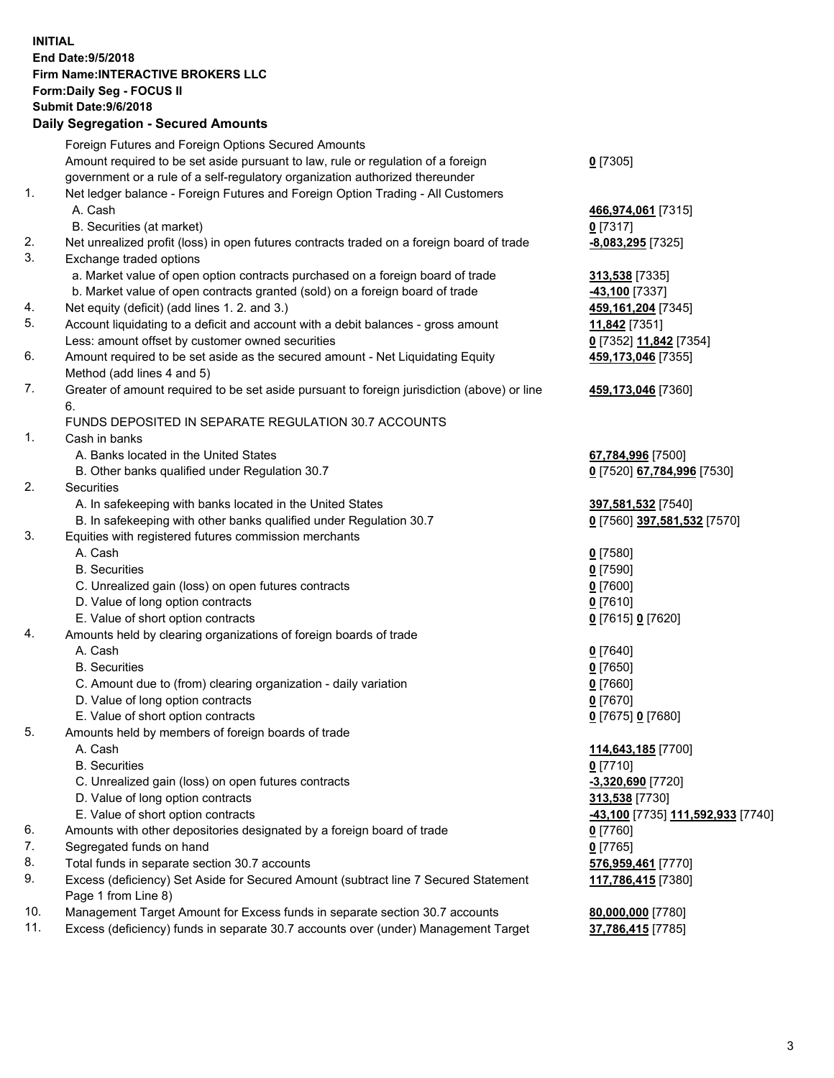## **INITIAL End Date:9/5/2018 Firm Name:INTERACTIVE BROKERS LLC Form:Daily Seg - FOCUS II Submit Date:9/6/2018 Daily Segregation - Secured Amounts**

|     | Daily Jegiegation - Jeculeu Aniounts                                                                         |                                       |
|-----|--------------------------------------------------------------------------------------------------------------|---------------------------------------|
|     | Foreign Futures and Foreign Options Secured Amounts                                                          |                                       |
|     | Amount required to be set aside pursuant to law, rule or regulation of a foreign                             | $0$ [7305]                            |
|     | government or a rule of a self-regulatory organization authorized thereunder                                 |                                       |
| 1.  | Net ledger balance - Foreign Futures and Foreign Option Trading - All Customers                              |                                       |
|     | A. Cash                                                                                                      | 466,974,061 [7315]                    |
|     | B. Securities (at market)                                                                                    | $0$ [7317]                            |
| 2.  | Net unrealized profit (loss) in open futures contracts traded on a foreign board of trade                    | -8,083,295 [7325]                     |
| 3.  | Exchange traded options                                                                                      |                                       |
|     | a. Market value of open option contracts purchased on a foreign board of trade                               | 313,538 [7335]                        |
|     | b. Market value of open contracts granted (sold) on a foreign board of trade                                 | -43,100 [7337]                        |
| 4.  | Net equity (deficit) (add lines 1. 2. and 3.)                                                                | 459, 161, 204 [7345]                  |
| 5.  | Account liquidating to a deficit and account with a debit balances - gross amount                            | 11,842 [7351]                         |
|     | Less: amount offset by customer owned securities                                                             | 0 [7352] 11,842 [7354]                |
| 6.  | Amount required to be set aside as the secured amount - Net Liquidating Equity                               | 459,173,046 [7355]                    |
|     | Method (add lines 4 and 5)                                                                                   |                                       |
| 7.  | Greater of amount required to be set aside pursuant to foreign jurisdiction (above) or line                  | 459,173,046 [7360]                    |
|     | 6.                                                                                                           |                                       |
|     | FUNDS DEPOSITED IN SEPARATE REGULATION 30.7 ACCOUNTS                                                         |                                       |
| 1.  | Cash in banks                                                                                                |                                       |
|     | A. Banks located in the United States                                                                        | 67,784,996 [7500]                     |
|     | B. Other banks qualified under Regulation 30.7                                                               | 0 [7520] 67,784,996 [7530]            |
| 2.  | Securities                                                                                                   |                                       |
|     | A. In safekeeping with banks located in the United States                                                    | 397,581,532 [7540]                    |
|     | B. In safekeeping with other banks qualified under Regulation 30.7                                           | 0 [7560] 397,581,532 [7570]           |
| 3.  | Equities with registered futures commission merchants                                                        |                                       |
|     | A. Cash                                                                                                      | $0$ [7580]                            |
|     | <b>B.</b> Securities                                                                                         | $0$ [7590]                            |
|     | C. Unrealized gain (loss) on open futures contracts                                                          | $0$ [7600]                            |
|     | D. Value of long option contracts                                                                            | $0$ [7610]                            |
|     | E. Value of short option contracts                                                                           | 0 [7615] 0 [7620]                     |
| 4.  | Amounts held by clearing organizations of foreign boards of trade                                            |                                       |
|     | A. Cash                                                                                                      | $0$ [7640]                            |
|     | <b>B.</b> Securities                                                                                         | $0$ [7650]                            |
|     | C. Amount due to (from) clearing organization - daily variation                                              | $0$ [7660]                            |
|     | D. Value of long option contracts                                                                            | $0$ [7670]                            |
|     | E. Value of short option contracts                                                                           | 0 [7675] 0 [7680]                     |
| 5.  | Amounts held by members of foreign boards of trade                                                           |                                       |
|     | A. Cash<br><b>B.</b> Securities                                                                              | 114,643,185 [7700]                    |
|     |                                                                                                              | $0$ [7710]                            |
|     | C. Unrealized gain (loss) on open futures contracts                                                          | $-3,320,690$ [7720]<br>313,538 [7730] |
|     | D. Value of long option contracts                                                                            |                                       |
| 6.  | E. Value of short option contracts<br>Amounts with other depositories designated by a foreign board of trade | -43,100 [7735] 111,592,933 [7740]     |
| 7.  | Segregated funds on hand                                                                                     | 0 [7760]<br>$0$ [7765]                |
| 8.  | Total funds in separate section 30.7 accounts                                                                | 576,959,461 [7770]                    |
| 9.  |                                                                                                              |                                       |
|     | Excess (deficiency) Set Aside for Secured Amount (subtract line 7 Secured Statement<br>Page 1 from Line 8)   | 117,786,415 [7380]                    |
| 10. | Management Target Amount for Excess funds in separate section 30.7 accounts                                  | 80,000,000 [7780]                     |
| 11. | Excess (deficiency) funds in separate 30.7 accounts over (under) Management Target                           | 37,786,415 [7785]                     |
|     |                                                                                                              |                                       |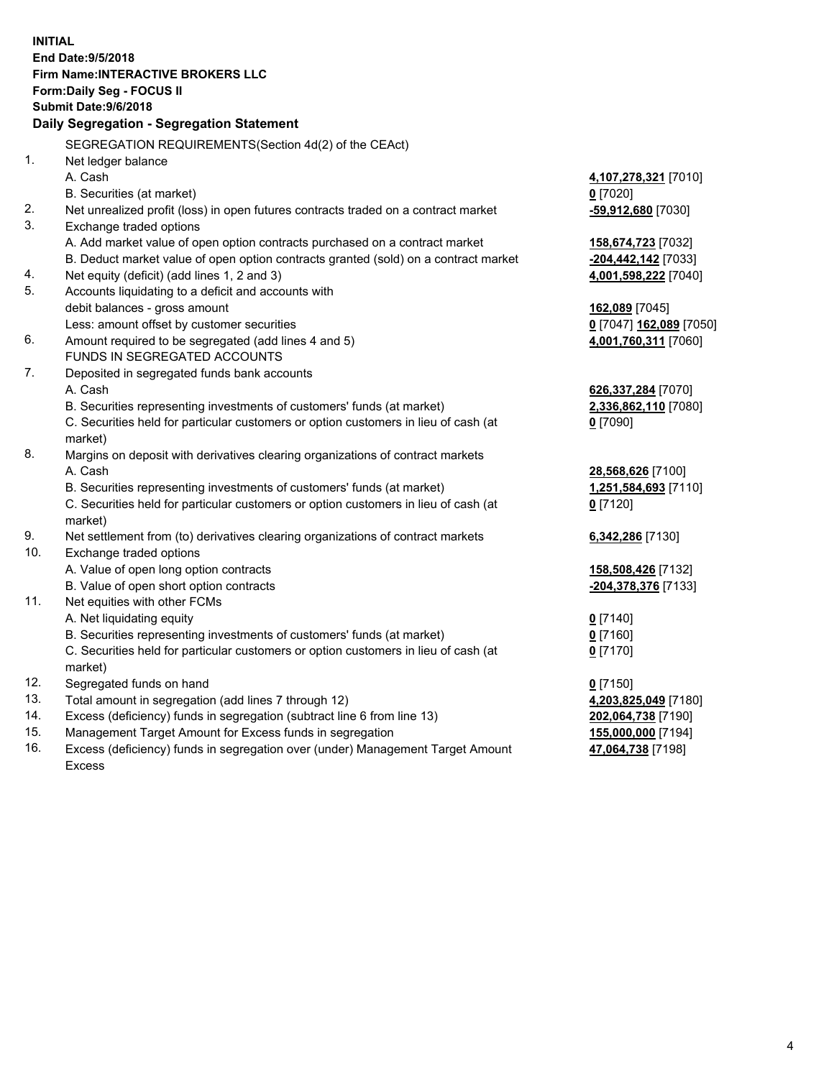**INITIAL End Date:9/5/2018 Firm Name:INTERACTIVE BROKERS LLC Form:Daily Seg - FOCUS II Submit Date:9/6/2018 Daily Segregation - Segregation Statement** SEGREGATION REQUIREMENTS(Section 4d(2) of the CEAct) 1. Net ledger balance A. Cash **4,107,278,321** [7010] B. Securities (at market) **0** [7020] 2. Net unrealized profit (loss) in open futures contracts traded on a contract market **-59,912,680** [7030] 3. Exchange traded options A. Add market value of open option contracts purchased on a contract market **158,674,723** [7032] B. Deduct market value of open option contracts granted (sold) on a contract market **-204,442,142** [7033] 4. Net equity (deficit) (add lines 1, 2 and 3) **4,001,598,222** [7040] 5. Accounts liquidating to a deficit and accounts with debit balances - gross amount **162,089** [7045] Less: amount offset by customer securities **0** [7047] **162,089** [7050] 6. Amount required to be segregated (add lines 4 and 5) **4,001,760,311** [7060] FUNDS IN SEGREGATED ACCOUNTS 7. Deposited in segregated funds bank accounts A. Cash **626,337,284** [7070] B. Securities representing investments of customers' funds (at market) **2,336,862,110** [7080] C. Securities held for particular customers or option customers in lieu of cash (at market) **0** [7090] 8. Margins on deposit with derivatives clearing organizations of contract markets A. Cash **28,568,626** [7100] B. Securities representing investments of customers' funds (at market) **1,251,584,693** [7110] C. Securities held for particular customers or option customers in lieu of cash (at market) **0** [7120] 9. Net settlement from (to) derivatives clearing organizations of contract markets **6,342,286** [7130] 10. Exchange traded options A. Value of open long option contracts **158,508,426** [7132] B. Value of open short option contracts **-204,378,376** [7133] 11. Net equities with other FCMs A. Net liquidating equity **0** [7140] B. Securities representing investments of customers' funds (at market) **0** [7160] C. Securities held for particular customers or option customers in lieu of cash (at market) **0** [7170] 12. Segregated funds on hand **0** [7150] 13. Total amount in segregation (add lines 7 through 12) **4,203,825,049** [7180] 14. Excess (deficiency) funds in segregation (subtract line 6 from line 13) **202,064,738** [7190] 15. Management Target Amount for Excess funds in segregation **155,000,000** [7194] **47,064,738** [7198]

16. Excess (deficiency) funds in segregation over (under) Management Target Amount Excess